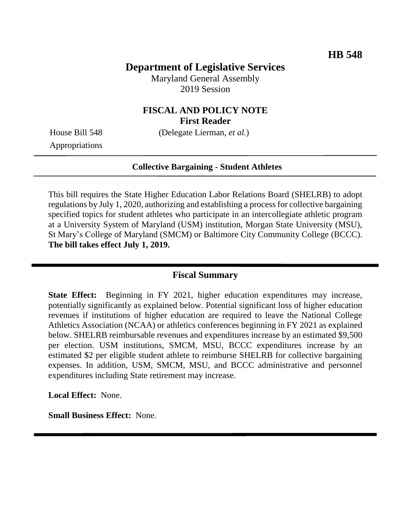# **Department of Legislative Services**

Maryland General Assembly 2019 Session

## **FISCAL AND POLICY NOTE First Reader**

House Bill 548 (Delegate Lierman, *et al.*)

Appropriations

#### **Collective Bargaining - Student Athletes**

This bill requires the State Higher Education Labor Relations Board (SHELRB) to adopt regulations by July 1, 2020, authorizing and establishing a process for collective bargaining specified topics for student athletes who participate in an intercollegiate athletic program at a University System of Maryland (USM) institution, Morgan State University (MSU), St Mary's College of Maryland (SMCM) or Baltimore City Community College (BCCC). **The bill takes effect July 1, 2019.**

#### **Fiscal Summary**

**State Effect:** Beginning in FY 2021, higher education expenditures may increase, potentially significantly as explained below. Potential significant loss of higher education revenues if institutions of higher education are required to leave the National College Athletics Association (NCAA) or athletics conferences beginning in FY 2021 as explained below. SHELRB reimbursable revenues and expenditures increase by an estimated \$9,500 per election. USM institutions, SMCM, MSU, BCCC expenditures increase by an estimated \$2 per eligible student athlete to reimburse SHELRB for collective bargaining expenses. In addition, USM, SMCM, MSU, and BCCC administrative and personnel expenditures including State retirement may increase.

**Local Effect:** None.

**Small Business Effect:** None.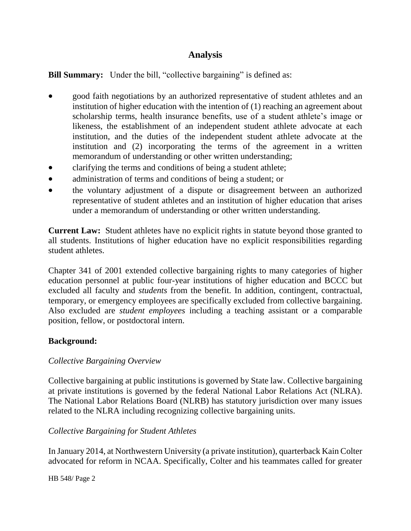# **Analysis**

# **Bill Summary:** Under the bill, "collective bargaining" is defined as:

- good faith negotiations by an authorized representative of student athletes and an institution of higher education with the intention of (1) reaching an agreement about scholarship terms, health insurance benefits, use of a student athlete's image or likeness, the establishment of an independent student athlete advocate at each institution, and the duties of the independent student athlete advocate at the institution and (2) incorporating the terms of the agreement in a written memorandum of understanding or other written understanding;
- clarifying the terms and conditions of being a student athlete;
- administration of terms and conditions of being a student; or
- the voluntary adjustment of a dispute or disagreement between an authorized representative of student athletes and an institution of higher education that arises under a memorandum of understanding or other written understanding.

**Current Law:** Student athletes have no explicit rights in statute beyond those granted to all students. Institutions of higher education have no explicit responsibilities regarding student athletes.

Chapter 341 of 2001 extended collective bargaining rights to many categories of higher education personnel at public four-year institutions of higher education and BCCC but excluded all faculty and *students* from the benefit. In addition, contingent, contractual, temporary, or emergency employees are specifically excluded from collective bargaining. Also excluded are *student employees* including a teaching assistant or a comparable position, fellow, or postdoctoral intern.

## **Background:**

## *Collective Bargaining Overview*

Collective bargaining at public institutions is governed by State law. Collective bargaining at private institutions is governed by the federal National Labor Relations Act (NLRA). The National Labor Relations Board (NLRB) has statutory jurisdiction over many issues related to the NLRA including recognizing collective bargaining units.

## *Collective Bargaining for Student Athletes*

In January 2014, at Northwestern University (a private institution), quarterback Kain Colter advocated for reform in NCAA. Specifically, Colter and his teammates called for greater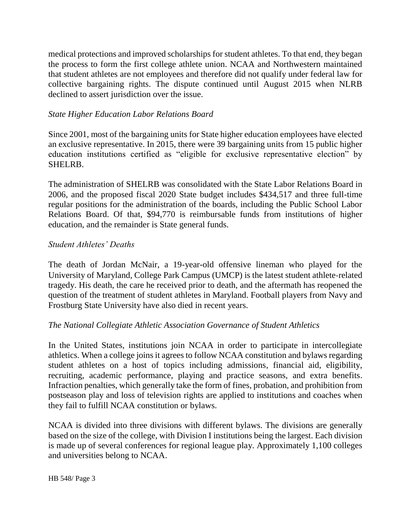medical protections and improved scholarships for student athletes. To that end, they began the process to form the first college athlete union. NCAA and Northwestern maintained that student athletes are not employees and therefore did not qualify under federal law for collective bargaining rights. The dispute continued until August 2015 when NLRB declined to assert jurisdiction over the issue.

## *State Higher Education Labor Relations Board*

Since 2001, most of the bargaining units for State higher education employees have elected an exclusive representative. In 2015, there were 39 bargaining units from 15 public higher education institutions certified as "eligible for exclusive representative election" by SHELRB.

The administration of SHELRB was consolidated with the State Labor Relations Board in 2006, and the proposed fiscal 2020 State budget includes \$434,517 and three full-time regular positions for the administration of the boards, including the Public School Labor Relations Board. Of that, \$94,770 is reimbursable funds from institutions of higher education, and the remainder is State general funds.

#### *Student Athletes' Deaths*

The death of Jordan McNair, a 19-year-old offensive lineman who played for the University of Maryland, College Park Campus (UMCP) is the latest student athlete-related tragedy. His death, the care he received prior to death, and the aftermath has reopened the question of the treatment of student athletes in Maryland. Football players from Navy and Frostburg State University have also died in recent years.

#### *The National Collegiate Athletic Association Governance of Student Athletics*

In the United States, institutions join NCAA in order to participate in intercollegiate athletics. When a college joins it agrees to follow NCAA constitution and bylaws regarding student athletes on a host of topics including admissions, financial aid, eligibility, recruiting, academic performance, playing and practice seasons, and extra benefits. Infraction penalties, which generally take the form of fines, probation, and prohibition from postseason play and loss of television rights are applied to institutions and coaches when they fail to fulfill NCAA constitution or bylaws.

NCAA is divided into three divisions with different bylaws. The divisions are generally based on the size of the college, with Division I institutions being the largest. Each division is made up of several conferences for regional league play. Approximately 1,100 colleges and universities belong to NCAA.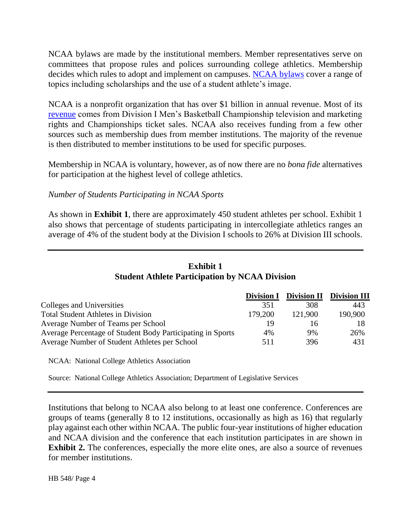NCAA bylaws are made by the institutional members. Member representatives serve on committees that propose rules and polices surrounding college athletics. Membership decides which rules to adopt and implement on campuses. [NCAA bylaws](https://www.ncaapublications.com/p-4547-2018-2019-ncaa-division-i-manual-august-version-available-august-2018.aspx) cover a range of topics including scholarships and the use of a student athlete's image.

NCAA is a nonprofit organization that has over \$1 billion in annual revenue. Most of its [revenue](http://www.ncaa.org/about/where-does-money-go) comes from Division I Men's Basketball Championship television and marketing rights and Championships ticket sales. NCAA also receives funding from a few other sources such as membership dues from member institutions. The majority of the revenue is then distributed to member institutions to be used for specific purposes.

Membership in NCAA is voluntary, however, as of now there are no *bona fide* alternatives for participation at the highest level of college athletics.

#### *Number of Students Participating in NCAA Sports*

As shown in **Exhibit 1**, there are approximately 450 student athletes per school. Exhibit 1 also shows that percentage of students participating in intercollegiate athletics ranges an average of 4% of the student body at the Division I schools to 26% at Division III schools.

## **Exhibit 1 Student Athlete Participation by NCAA Division**

|                                                            | <b>Division I</b> |         | <b>Division II Division III</b> |
|------------------------------------------------------------|-------------------|---------|---------------------------------|
| <b>Colleges and Universities</b>                           | 351               | 308     | 443                             |
| <b>Total Student Athletes in Division</b>                  | 179,200           | 121,900 | 190,900                         |
| Average Number of Teams per School                         | 19                | 16      |                                 |
| Average Percentage of Student Body Participating in Sports | 4%                | 9%      | 26%                             |
| Average Number of Student Athletes per School              | 511               | 396     | 431                             |

NCAA: National College Athletics Association

Source: National College Athletics Association; Department of Legislative Services

Institutions that belong to NCAA also belong to at least one conference. Conferences are groups of teams (generally 8 to 12 institutions, occasionally as high as 16) that regularly play against each other within NCAA. The public four-year institutions of higher education and NCAA division and the conference that each institution participates in are shown in **Exhibit 2.** The conferences, especially the more elite ones, are also a source of revenues for member institutions.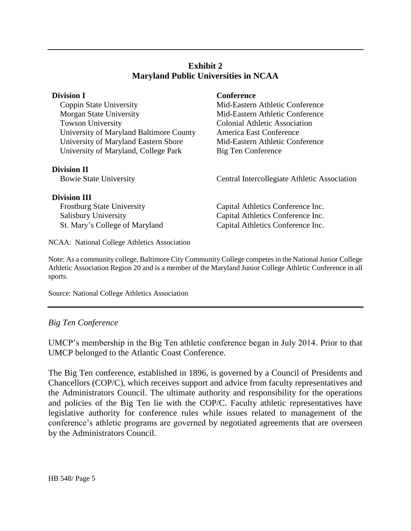## **Exhibit 2 Maryland Public Universities in NCAA**

Coppin State University Mid-Eastern Athletic Conference Morgan State University Mid-Eastern Athletic Conference Towson University Colonial Athletic Association University of Maryland Baltimore County America East Conference University of Maryland Eastern Shore Mid-Eastern Athletic Conference University of Maryland, College Park Big Ten Conference

#### **Division II**

#### **Division III**

## **Division I Conference**

Bowie State University **Central Intercollegiate Athletic Association** 

Frostburg State University Capital Athletics Conference Inc. Salisbury University Capital Athletics Conference Inc. St. Mary's College of Maryland Capital Athletics Conference Inc.

NCAA: National College Athletics Association

Note: As a community college, Baltimore City Community College competes in the National Junior College Athletic Association Region 20 and is a member of the Maryland Junior College Athletic Conference in all sports.

Source: National College Athletics Association

# *Big Ten Conference*

UMCP's membership in the Big Ten athletic conference began in July 2014. Prior to that UMCP belonged to the Atlantic Coast Conference.

The Big Ten conference, established in 1896, is governed by a Council of Presidents and Chancellors (COP/C), which receives support and advice from faculty representatives and the Administrators Council. The ultimate authority and responsibility for the operations and policies of the Big Ten lie with the COP/C. Faculty athletic representatives have legislative authority for conference rules while issues related to management of the conference's athletic programs are governed by negotiated agreements that are overseen by the Administrators Council.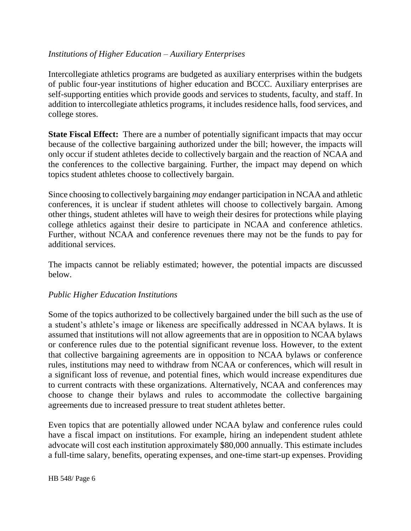## *Institutions of Higher Education – Auxiliary Enterprises*

Intercollegiate athletics programs are budgeted as auxiliary enterprises within the budgets of public four-year institutions of higher education and BCCC. Auxiliary enterprises are self-supporting entities which provide goods and services to students, faculty, and staff. In addition to intercollegiate athletics programs, it includes residence halls, food services, and college stores.

**State Fiscal Effect:** There are a number of potentially significant impacts that may occur because of the collective bargaining authorized under the bill; however, the impacts will only occur if student athletes decide to collectively bargain and the reaction of NCAA and the conferences to the collective bargaining. Further, the impact may depend on which topics student athletes choose to collectively bargain.

Since choosing to collectively bargaining *may* endanger participation in NCAA and athletic conferences, it is unclear if student athletes will choose to collectively bargain. Among other things, student athletes will have to weigh their desires for protections while playing college athletics against their desire to participate in NCAA and conference athletics. Further, without NCAA and conference revenues there may not be the funds to pay for additional services.

The impacts cannot be reliably estimated; however, the potential impacts are discussed below.

## *Public Higher Education Institutions*

Some of the topics authorized to be collectively bargained under the bill such as the use of a student's athlete's image or likeness are specifically addressed in NCAA bylaws. It is assumed that institutions will not allow agreements that are in opposition to NCAA bylaws or conference rules due to the potential significant revenue loss. However, to the extent that collective bargaining agreements are in opposition to NCAA bylaws or conference rules, institutions may need to withdraw from NCAA or conferences, which will result in a significant loss of revenue, and potential fines, which would increase expenditures due to current contracts with these organizations. Alternatively, NCAA and conferences may choose to change their bylaws and rules to accommodate the collective bargaining agreements due to increased pressure to treat student athletes better.

Even topics that are potentially allowed under NCAA bylaw and conference rules could have a fiscal impact on institutions. For example, hiring an independent student athlete advocate will cost each institution approximately \$80,000 annually. This estimate includes a full-time salary, benefits, operating expenses, and one-time start-up expenses. Providing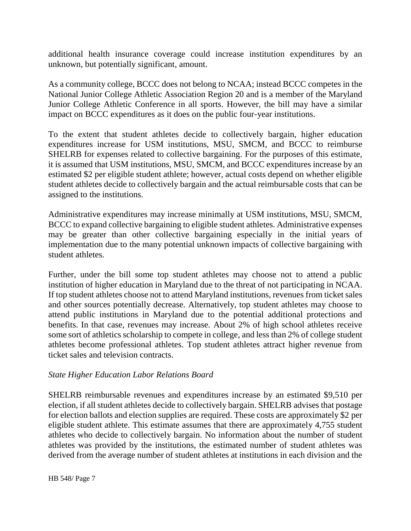additional health insurance coverage could increase institution expenditures by an unknown, but potentially significant, amount.

As a community college, BCCC does not belong to NCAA; instead BCCC competes in the National Junior College Athletic Association Region 20 and is a member of the Maryland Junior College Athletic Conference in all sports. However, the bill may have a similar impact on BCCC expenditures as it does on the public four-year institutions.

To the extent that student athletes decide to collectively bargain, higher education expenditures increase for USM institutions, MSU, SMCM, and BCCC to reimburse SHELRB for expenses related to collective bargaining. For the purposes of this estimate, it is assumed that USM institutions, MSU, SMCM, and BCCC expenditures increase by an estimated \$2 per eligible student athlete; however, actual costs depend on whether eligible student athletes decide to collectively bargain and the actual reimbursable costs that can be assigned to the institutions.

Administrative expenditures may increase minimally at USM institutions, MSU, SMCM, BCCC to expand collective bargaining to eligible student athletes. Administrative expenses may be greater than other collective bargaining especially in the initial years of implementation due to the many potential unknown impacts of collective bargaining with student athletes.

Further, under the bill some top student athletes may choose not to attend a public institution of higher education in Maryland due to the threat of not participating in NCAA. If top student athletes choose not to attend Maryland institutions, revenues from ticket sales and other sources potentially decrease. Alternatively, top student athletes may choose to attend public institutions in Maryland due to the potential additional protections and benefits. In that case, revenues may increase. About 2% of high school athletes receive some sort of athletics scholarship to compete in college, and less than 2% of college student athletes become professional athletes. Top student athletes attract higher revenue from ticket sales and television contracts.

## *State Higher Education Labor Relations Board*

SHELRB reimbursable revenues and expenditures increase by an estimated \$9,510 per election, if all student athletes decide to collectively bargain. SHELRB advises that postage for election ballots and election supplies are required. These costs are approximately \$2 per eligible student athlete. This estimate assumes that there are approximately 4,755 student athletes who decide to collectively bargain. No information about the number of student athletes was provided by the institutions, the estimated number of student athletes was derived from the average number of student athletes at institutions in each division and the